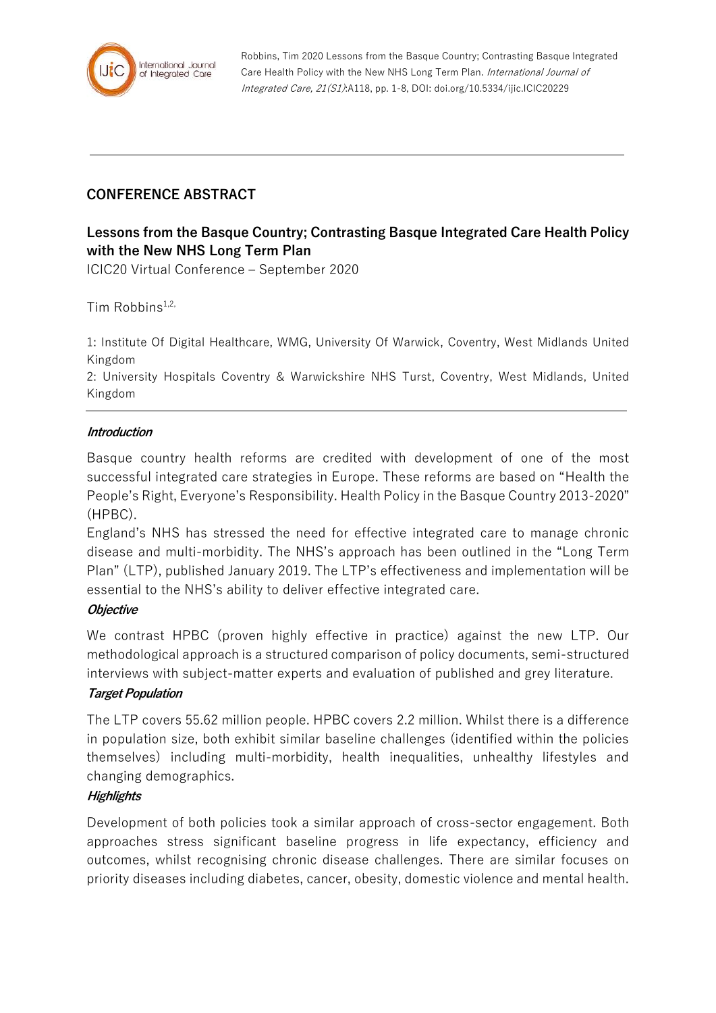

Robbins, Tim 2020 Lessons from the Basque Country; Contrasting Basque Integrated Care Health Policy with the New NHS Long Term Plan. International Journal of Integrated Care, 21(S1):A118, pp. 1-8, DOI: doi.org/10.5334/ijic.ICIC20229

# **CONFERENCE ABSTRACT**

# **Lessons from the Basque Country; Contrasting Basque Integrated Care Health Policy with the New NHS Long Term Plan**

ICIC20 Virtual Conference – September 2020

Tim Robbins $1,2$ ,

1: Institute Of Digital Healthcare, WMG, University Of Warwick, Coventry, West Midlands United Kingdom

2: University Hospitals Coventry & Warwickshire NHS Turst, Coventry, West Midlands, United Kingdom

#### **Introduction**

Basque country health reforms are credited with development of one of the most successful integrated care strategies in Europe. These reforms are based on "Health the People's Right, Everyone's Responsibility. Health Policy in the Basque Country 2013-2020" (HPBC).

England's NHS has stressed the need for effective integrated care to manage chronic disease and multi-morbidity. The NHS's approach has been outlined in the "Long Term Plan" (LTP), published January 2019. The LTP's effectiveness and implementation will be essential to the NHS's ability to deliver effective integrated care.

#### **Objective**

We contrast HPBC (proven highly effective in practice) against the new LTP. Our methodological approach is a structured comparison of policy documents, semi-structured interviews with subject-matter experts and evaluation of published and grey literature.

#### **Target Population**

The LTP covers 55.62 million people. HPBC covers 2.2 million. Whilst there is a difference in population size, both exhibit similar baseline challenges (identified within the policies themselves) including multi-morbidity, health inequalities, unhealthy lifestyles and changing demographics.

## **Highlights**

Development of both policies took a similar approach of cross-sector engagement. Both approaches stress significant baseline progress in life expectancy, efficiency and outcomes, whilst recognising chronic disease challenges. There are similar focuses on priority diseases including diabetes, cancer, obesity, domestic violence and mental health.